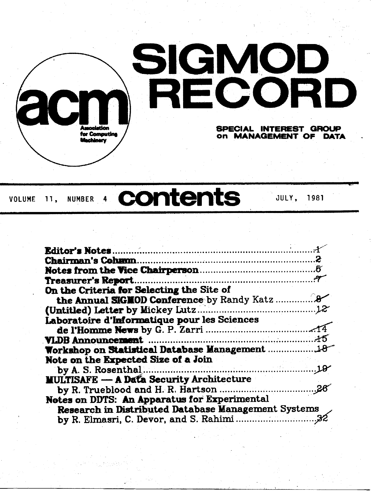

# VOLUME **11, NUMBER 4 contents JULY, 1981**

| Treasurer's Report.                                 |
|-----------------------------------------------------|
| On the Criteria for Selecting the Site of           |
| the Annual SIGNOD Conference by Randy Katz          |
|                                                     |
| Laboratoire d'Informatique pour les Sciences        |
|                                                     |
|                                                     |
| Workshop on Statistical Database Management         |
| Note on the Expected Size of a Join                 |
|                                                     |
| <b>MULTISAFE - A Data Security Architecture</b>     |
|                                                     |
| Notes on DDTS: An Apparatus for Experimental        |
| Research in Distributed Database Management Systems |
|                                                     |
|                                                     |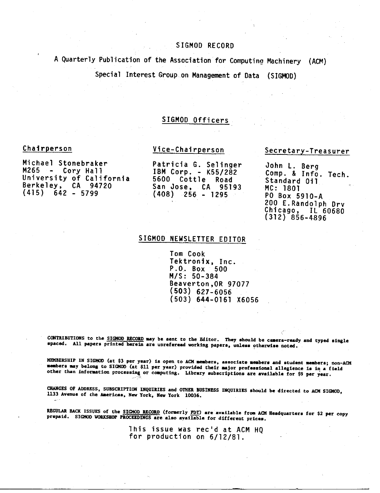# SIGMOD RECORD

A Quarterly Publication of the Association for Computin9 Machinery (ACM)

Special Interest Group on Management of Data (SIGMOD)

# SIGMOD Officers

## Chairperson

Michael Stonebraker M265 - Cory Hall University of California Berkeley, CA 94720  $(415)$   $642 - 5799$ 

Patricia G. Selinger IBM Corp. - K55/282 5600 Cottle Road San Jose, CA 95193

(408) 256 - 1295

Vice-Chairperson

# Secretary-Treasurer

John L. Berg Comp. & Info. Tech. Standard Oil MC: 1801 PO Box 5910-A 200 E.Randolph Drv Chicago, IL 60680  $(312)$  856-4896

# SIGMOD NEWSLETTER EDITOR

Tom Cook Tektronix, Inc. P.O. Box 500 M/S: 50-384 Beaverton,OR 97077 (503) 627-6056 (503) 644-0161 X6056

CONTRIBUTIONS to the SIGMOD RECORD may be sent to the Editor. They should be camera-ready and typed single spaced. All papers printed herein are unrefereed working papers, unless otherwise noted.

MEMBERSHIP IN SIGMOD (at \$3 per year) is open to ACM members, associate members and student members; non-ACM members may belong to SICMOD (at \$11 per year) provided their major professional allegience is in a field other than information processing or computing. Library subscriptions are available for \$9 per year.

CHANGES OF ADDRESS, SUBSCRIPTION INQUIRIES and OTHER BUSINESS INQUIRIES should be directed to ACM SIGMOD, 1133 Avenue of the Americas, New York, New York 10036.

REGULAR BACK ISSUES of the SIGMOD RECORD (formerly FDT) are available from ACM Headquarters for \$2 per copy prepaid. SIGMOD WORKSHOP PROCEEDINGS are also available for different prices.

> Ibis issue was rec'd at ACM HQ for production on 6/12/81.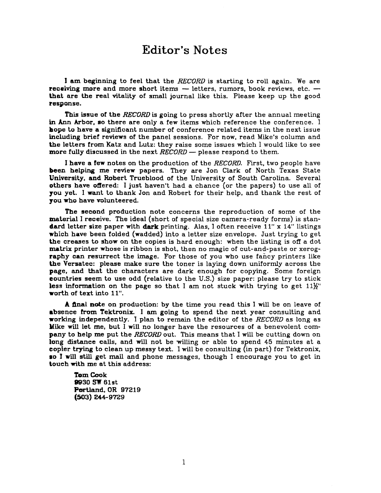# **Editor's Notes**

I am beginning to feel that the *RECORD* is starting to roll again. We are receiving more and more short items  $-$  letters, rumors, book reviews, etc.  $$ that are the real vitality of small journal like this. Please keep up the good response.

This issue of the *RECORD* is going to press shortly after the annual meeting in Ann Arbor, so there are only a few items which reference the conference. I hope to have a significant number of conference related items in the next issue including brief reviews of the panel sessions. For now, read Mike's column and the letters from Katz and Lutz: they raise some issues which I would like to see more fully discussed in the next *RECORD* - please respond to them.

I have a few notes on the production of the *RECORD.* First, two people have been helping me review papers. They are Jon Clark of North Texas State University, and Robert Trueblood of the University of South Carolina. Several others have offered: I just haven't had a chance (or the papers) to use all of you yet. I want to thank Jon and Robert for their help, and thank the rest of you who have volunteered.

The second production note concerns the reproduction of some of the material ] receive. The ideal (short of special size camera-ready forms) is standard letter size paper with dark printing. Alas, I often receive  $11''$  x  $14''$  listings which have been folded (wadded) into a letter size envelope. Just trying to get the creases to show on the copies is hard enough: when the listing is off a dot matrix printer whose is ribbon is shot, then no magic of cut-and-paste or xerography can resurrect the image. For those of you who use fancy printers like the Versatec: please make sure the toner is laying down uniformly across the page, and that the characters are dark enough for copying. Some foreign countries seem to use odd (relative to the U.S.) size paper: please try to stick less information on the page so that I am not stuck with trying to get  $11\frac{1}{2}$ " worth of text into 11".

A final note on production: by the time you read this I will be on leave of absence from Tektronix. I am going to spend the next year consulting and working independently. I plan to remain the editor of the *RECORD* as long as Mike will let me, but I will no longer have the resources of a benevolent company to help me put the *RECORD* out. This means that I will be cutting down on long distance calls, and will not be willing or able to spend 45 minutes at a copier trying to clean up messy text. I will be consulting (in part) for Tektronix, so ! will still get mail and phone messages, though I encourage you to get in touch with me at this address:

**Tom Cook 9930 SW 61st Portland, OR 97219 (503) 244-9729**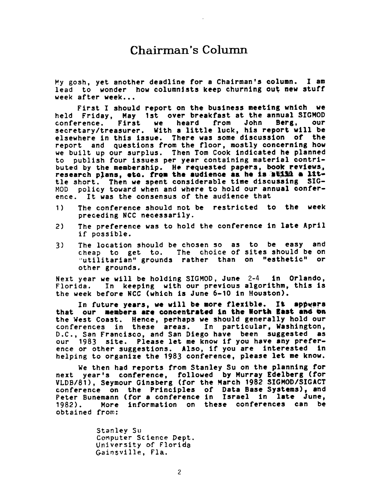# **Chairman's Column**

My gosh, yet another deadline for a Chairman's column. I am lead to wonder how columnists keep churning out new stuff week after week...

First I should report on the business meeting which we held Friday, May 1st over breakfast at the annual SIGMOD<br>conference. First we heard from John Berg, our conference. First we secretary/treasurer. With a little luck, his report will be elsewhere in this issue. There was some discussion of the report and questions from the floor, mostly concerning how we built up our surplus. Then Tom Cook indicated he planned to publish four issues per year containing material contributed by the membership. He requested papers, book reviews, research plans, etc. from the audience as he is still a lit tle short. Then we spent considerable time discussing 5IG-HOD policy toward when and where to hold our annual conference. It was the consensus of the audience that

- 1) The conference should not be restricted to the week preceding NCC necessarily.
- 2) The preference was to hold the conference In late April if possible.
- 3) The location should be chosen so as to be easy and cheap to get to. The choice of sites should be on "utilitarian" grounds rather than on "esthetic" or other grounds.

Next year we will be holding SIGMOD, June 2-4 in Orlando, Florida. In keeping with our previous algorithm, this Is the week before NCC (which is June 6-10 in Houston).

In future years, we wtll be more flexible. It appears that our members are concentrated in the North East and on the West Coast. Hence, perhaps we should generally hold our conferences in these areas. In particular, Washington, D.C., San Francisco, and San Diego have been suggested as our 1983 site. Please let me know If you have any preference or other suggestions. Also, if you are interested in helping to organize the 1983 conference, please let me know.

We then had reports from Stanley Su on the planning for next year's conference, followed by Murray Edelberg (for VLDB/81), Seymour Glnsberg (for the March 1982 \$IGMOD/SIGACT conference on the Principles of Data Base Systems), and Peter Bunemann (for a conference In Israel in late June, 1982). More information on these conferences can be obtained from:

> Stanley Su Computer Science Dept. University of Florida Gainsville, Fla.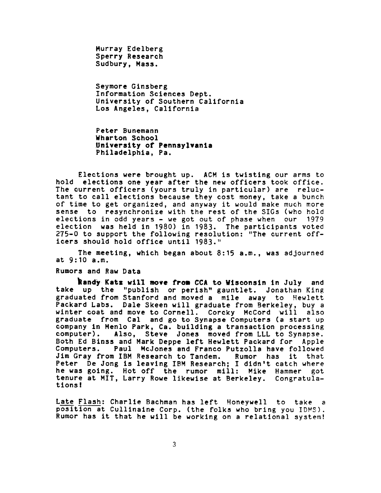Murray Edelberg Sperry Research Sudbury, Mass.

Seymore Ginsberg Information Sciences Dept. University of Southern California Los Angeles, California

Peter Bunemann **Wharton Sohool University of Pennsylvania**  Philadelphia, Pa.

Elections were brought up. ACH is twisting our arms to hold elections one year after the new officers took office. The current officers (yours truly in particular) are reluctant to call elections because they cost money, take a bunch of time to get organized, and anyway it would make much more sense to resynchronize with the rest of the SIGs (who hold elections in odd years - we got out of phase when our 1979 election was held in 1980) in 1983. The participants voted 2?5-0 to support the following resolution: "The current officers should hold office until 1983."

The meeting, which began about 8:15 a.m., was adjourned at 9:10 a.m.

## Rumors and Raw Data

Randy Katz will move from CCA to Wisconsin in July and take up the "publish or perish" gauntlet. Jonathan King graduated from Stanford and moved a mile away to Hewlett Packard Labs. Dale Skeen will graduate from Berkeley, buy a winter coat and move to Cornell. Corcky McCord will also graduate from Cal and go to Synapse Computers (a start up company in Menlo Park, Ca. building a transaction processing computer). Also, Steve Jones moved from LLL to Synapse. Both Ed Binss and Mark Deppe left Hewlett Packard for Apple Paul McJones and Franco Putzolla have followed Jim Gray from IBM Research to Tandem. Rumor has it that Peter De Jong is leaving IBM Research; I didn't catch where he was going. Hot off the rumor mill: Mike Hammer got tenure at HIT, Larry Rowe likewise at Berkeley. Congratulations!

Late Flash: Charlle Bachman has left Honeywell to take a position at Cullinaine Corp. (the folks who bring you IDHS). Rumor has it that he will be working on a relational system!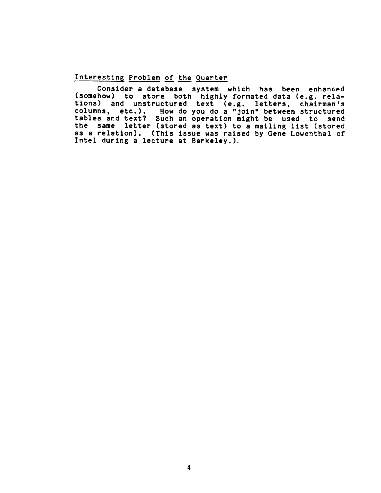# Interesting Problem of the Quarter

 $\mathcal{A}$ 

Consider a database system which has been enhanced (somehow) to store both highly formated data (e.g. relations) and unstructured text (e.g. letters, chairman's columns-, etc.). How do you do a "join" between structured tables and text? Such an operation might be used to send the same letter (stored as text) to a mailing list (stored as a relation). (This issue was raised by Oene Lowenthal of Intel during a lecture at Berkeley.).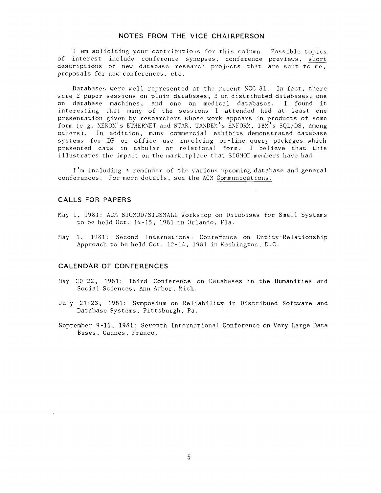# **NOTES FROM THE VICE CHAIRPERSON**

I am soliciting your contributions for this column. Possible topics of interest include conference synopses, conference previews, short descriptions of new database research projects that are sent to me, proposals for new conferences, etc.

Databases were well represented at the recent NCC 81. In fact, there were 2 paper sessions on plain databases, 3 on distributed databases, one on database machines, and one on medical databases. I found it interesting that many of the sessions I attended had at least one presentation given by researchers whose work appears in products of some form (e.g. XEROX's ETHERNET and STAR, TANDEM's ENFORM, IBM's SQL/DS, among others). In addition, many commercial exhibits demonstrated database systems for DP or office use involving on-line query packages which presented data in tabular or relational form. I believe that this illustrates the impact on the marketplace that SIGMOD members have had.

I'm including a reminder of the various upcoming database and genera] conferences. For more details, see the ACM Communications.

## **CALLS FOR PAPERS**

- May 1, 1981: ACM SIGMOD/SIGSMALL Workshop on Databases for Small Systems to be held Oct. ]4-15, 1981 in Orlando, Fla.
- May i, 1981: Second International Conference on Entity-Relationship Approach to be held Oct. 12-14, 1981 in Washington, D.C.

### **CALENDAR OF CONFERENCES**

- May 20-22, 1981: Third Conference on Databases in the Humanities and Social Sciences, Ann Arbor, Mich.
- July 21-23, 1981: Symposium on Reliability in Distribued Software and Database Systems, Pittsburgh, Pa.
- September 9-11, 1981: Seventh International Conference on Very Large Data Bases, Cannes, France.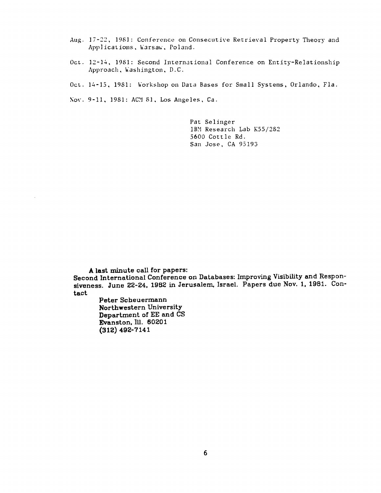- Aug. 17-22, 1981: Conference on Consecutive Retrieval Property Theory and Applications, Warsaw, Poland.
- Oct. 12-14, 1981: Second International Conference on Entity-Relationship Approach, Washington, D.C.
- **OcL. 14-15, 1981:** Workshop on Data Bases for Small Systems, **Orlando, Fla.**

Nov. 9-11, 1981: ACN 81, Los Angeles, Ca.

Pat Selinger IBM Research Lab K55/282 5600 Cottle Rd. **San** Jose, CA 95193

**A last minute call for papers: Second International Conference on Databases: Improving Visibility and Responsiveness. June 22-24, 1982 in Jerusalem, Israel. Papers due Nov. I, 1981. Contact** 

**Peter Scheuermann Northwestern University Department of EE and CS Evanston, Ill. 60201 (312) 492-7141**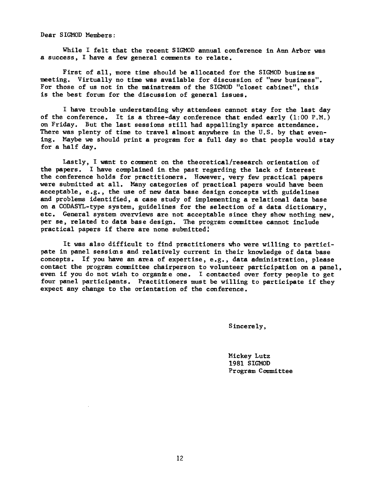Dear SIGMOD Members :

While I felt that the recent SIGMOD annual conference in Ann Arbor was a success, I have a few general comments to relate.

First of all, more time should be allocated for the SIGMOD business meeting. Virtually no time was available for discussion of "new business". For those of us not in the mainstream of the SIGMOD "closet cabinet", this is the best forum for the discussion of general issues.

I have trouble understanding why attendees cannot stay for the last day of the conference. It is a three-day conference that ended early  $(1:00 \text{ P.M.})$ on Friday. But the last sessions still had appallingly sparce attendance. There was plenty of time to travel almost anywhere in the U.S. by that evening. Maybe we should print a program for a full day so that people would stay for a half day.

Lastly, I want to comment on the theoretical/research orientation of the papers. I have complained in the past regarding the lack of interest the conference holds for practitioners. However, very few practical papers were submitted at all. Many categories of practical papers would have been acceptable, e.g., the use of new data base design concepts with guidelines and problems identified, a case study of implementing a relational data base on a CODASYL-type system, guidelines for the selection of a data dictionary, etc. General system overviews are not acceptable since they show nothing new, per se, related to data base design. The program committee cannot include practical papers if there are none submitted'

It was also difficult to find practitioners who were willing to participate in panel sessions and relatively current in their knowledge of data base concepts. If you have an area of expertise, e.g., data administration, please contact the program committee chairperson to volunteer participation on a panel, even if you do not wish to organize one. I contacted over forty people to get four panel participants. Practitioners must be willing to participate if they expect any change to the orientation of the conference.

Sincere ly,

Mickey Lutz 1981 SIGMOD Program Committee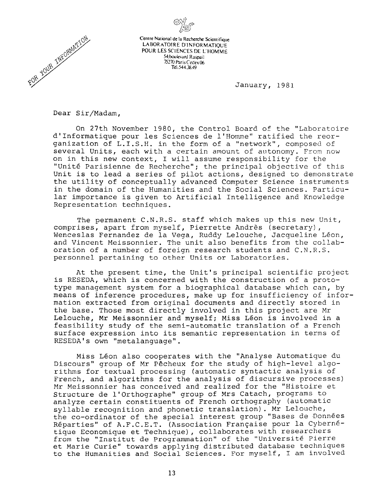



**Centre National de la Recherche Scientifique LABORATOIRE D'INFORMATIQUE POUR LES SCIENCES DE L'HOMME**  54 boulevard Raspail 75270 Paris Cedex 06 Teh 544.38.49

January, 1981

Dear Sir/Madam,

On 27th November 1980, the Control Board of the "Laboratoire d'Informatique pour les Sciences de l'Homme" ratified the reorganization of L.I.S.H. in the form of a "network", composed of several Units, each with a certain amount of autonomy. From now on in this new context, I will assume responsibility for the "Unité Parisienne de Recherche"; the principal objective of this Unit is to lead a series of pilot actions, designed to demonstrate the utility of conceptually advanced Computer Science instruments in the domain of the Humanities and the Social Sciences. Particular importance is given to Artificial Intelligence and Knowledge Representation techniques.

The permanent C.N.R.S. staff which makes up this new Unit, comprises, apart from myself, Pierrette Andrès (secretary), Wenceslas Fernandez de la Vega, Ruddy Lelouche, Jacqueline Léon, and Vincent Meissonnier. The unit also benefits from the collaboration of a number of foreign research students and C.N.R.S. personnel pertaining to other Units or Laboratories.

At the present time, the Unit's principal scientific project is RESEDA, which is concerned with the construction of a prototype management system for a biographical database which can, by means of inference procedures, make up for insufficiency of information extracted from original documents and directly stored in the base. Those most directly involved in this project are Mr Lelouche, Mr Meissonnier and myself; Miss Léon is involved in a feasibility study of the semi-automatic translation of a French surface expression into its semantic representation in terms of RESEDA's own "metalanguage".

Miss Léon also cooperates with the "Analyse Automatique du Discours" group of Mr Pêcheux for the study of high-level algorithms for textual processing (automatic syntactic analysis of French, and algorithms for the analysis of discursive processes) Mr Meissonnier has conceived and realized for the "Histoire et Structure de l'Orthographe" group of Mrs Catach, programs to analyze certain constituents of French orthography (automatic syllable recognition and phonetic translation). Mr Lelouche, the co-ordinator of the special interest group "Bases de Données Réparties" of A.F.C.E.T. (Association Française pour la Cybernétique Economique et Technique), collaborates with researchers from the "Institut de Programmation" of the "Université Pierre et Marie Curie" towards applying distributed database techniques to the Humanities and Social Sciences. For myself, I am involved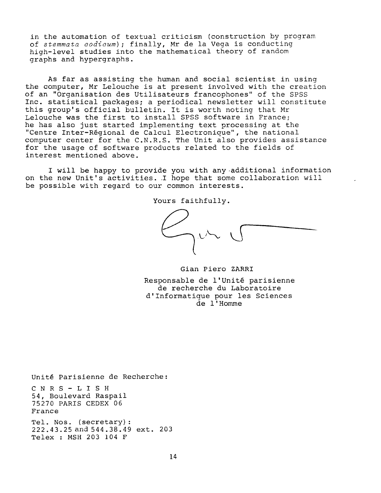in the automation of textual criticism (construction by program of *stemmata codicum) ;* finally, Mr de la Vega is conducting high-level studies into the mathematical theory of random graphs and hypergraphs.

As far as assisting the human and social scientist in using the computer, Mr Lelouche is at present involved with the creation of an "Organisation des Utilisateurs francophones" of the SPSS Inc. statistical packages; a periodical newsletter will constitute this group's official bulletin. It is worth noting that Mr Lelouche was the first to install SPSS software in France; he has also just started implementing text processing at the "Centre Inter-Régional de Calcul Electronique", the national computer center for the C.N.R.S. The Unit also provides assistance for the usage of software products related to the fields of interest mentioned above.

I will be happy to provide you with any additional information on the new Unit's activities. I hope that some collaboration will be possible with regard to our common interests.

Yours faithfully.

Gian Piero ZARRI Responsable de l'Unité parisienne de recherche du Laboratoire d'Informatique pour les Sciences de l'Homme

Unité Parisienne de Recherche: CNRS-LISH 54, Boulevard Raspail 75270 PARIS CEDEX 06 France Tel. Nos. (secretary) : 222.43.25 and 544.38.49 ext. 203 Telex : MSH 203 104 F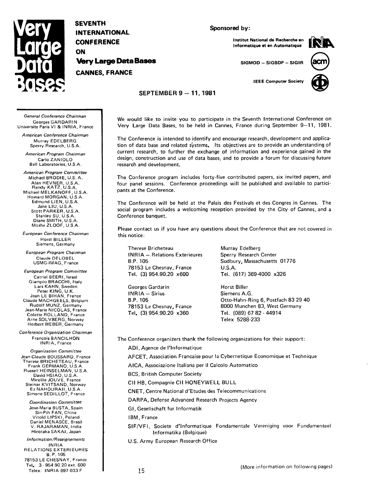

**SEVENTH INTERNATIONAL CONFERENCE ON Very Large Data Bases CANNES, FRANCE** 

#### **Sponsored by:**

**Institut National de Recherche en Informatique et an Automatique** 



**SIGMOD -- SIGBDP - SIGIR** 

**IEEE Computer Society** 



### **SEPTEMBER 9 -- 11, 1981**

*General Conference Chairman*  Georges GARDARIN Universite Paris VI & INRIA, France

*American Conference Chairman*  Murray EDELBERG Sperry Research, U.S.A.

*American Program Chairman*  Carlo ZANIOLO Bell Laboratories, U.S.A.

*American Program Committee*  Michael BRODIE, U.S.A. Alan HEVNER, U.S.A. Randy KATZ, U.S.A. Michael MELKANOFF, U.S.A. Howard MORGAN, U.S.A. Edmund LIEN, U.S.A. Jane LIU, U.S.A. Stott PARKER, U.S.A. Stanley SU, U.S.A. Diane SMITH, U.S.A. Moshe ZLOOF, U.S.A.

*European Conference Chairman*  Horst BILLER Siemens, Germany

*European Program Chairman*  Claude DELOBEL USMG-IMAG, France

*European Program Committee*  Catriel BEERI, Israel Giampio BRACCHI, Italy Lars KAHN, Sweden **Peter** KING, U.K. Jean LE BIHAN, France Claude MACHGEELS, Belgium Rudolf MUNZ, Germany Jean-Marie NICOLAS, France Colette ROLLAND, France Arne SOLVBERG, Norway Herbert WEBER, Germany

*Conference Organization Chairman*  Francois BANCILHON INRIA, France

*Organization Committee*  Jean-Claude BOUSSARD, France Therese BRICHETEAU, France Frank GERMANO, U.S.A. Russell HEINSELMAN, U.S.A. David HSIAO, U.S.A. Mireille JOUVE, France Steinar KVITSAND, Norway Ez NAHOURAII, U.S.A. Simone SEDILLOT, France

> *Coordination Committee*  Jose-Maria BUSTA, Spain Sin-Pih FAN, China Vitold LIPSKI, Poland Daniel MENASCE, Brasil V. RAJARAMAN, India Hirotaka SAKAI, Japan

*In formation/Reseignemen ts*  INRIA RELATIONS EXTERIEURES B.P. 105 78153 LE CHESNAY, France Tel.: 3 - 954 90 20 ext. 600 Telex: INRIA 697 033F

We would like to invite you to participate in the Seventh International Conference on Very Large Data Bases, to be held in Cannes, France during September 9-11, 1981.

The Conference is intended to identify and encourage research, development and application of data base and related systems. Its objectives are to provide an understanding of current research, to further the exchange of information and experience gained in the design, construction and use of data bases, and to provide a forum for discussing future research and development.

The Conference program includes forty-five contributed papers, six invited papers, and four panel sessions. Conference proceedings will be published and available to participants at the Conference.

The Conference will be held at the Palais des Festivals et des Congres in Cannes. The social program includes a welcoming reception provided by the City of Cannes, and a Conference banquet.

Please contact us if you have any questions about the Conference that are not covered in this notice:

Therese Bricheteau INRIA- Relations Exterieures B.P. 105 78153 Le Chesnay, France Tel. (3) 954.90.20 x600

Georges Gardarin INRIA - Sirius, B.P. 105 78153 Le Chesnay, France Tel. (3)954.90.20 x360

Murray Edelberg Sperry Research Center Sudbury, Massachusetts 01776 U.S.A. Tel. (617) 369-4000 x326

Horst Biller Siemens A.G. Otto-Hahn-Ring 6, Postfach 83 29 40 8000 Munchen 83, West Germany Tel. (089) 67 82 - 44914 Telex 5288-233

The Conference organizers thank the following organizations for their support:

ADI, Agence de I'lnformatique

AFCET, Association Francaise pour la Cybernetique Economique et Technique

AICA, Associazione Italiana per il Calcolo Automatico

BCS, British Computer Society

CII HB, Compagnie CII HONEYWELL BULL

CNET, Centre National d'Etudes des Telecommunications

DARPA, Defense Advanced Research Projects Agency

GI, Gesellschaft fur Informatik

IBM, France

SIF/VFI, Societe d'lnformatique Fondamentale Vereniging voor Fundamenteel Informatika (Belgique)

U.S. Army European Research Office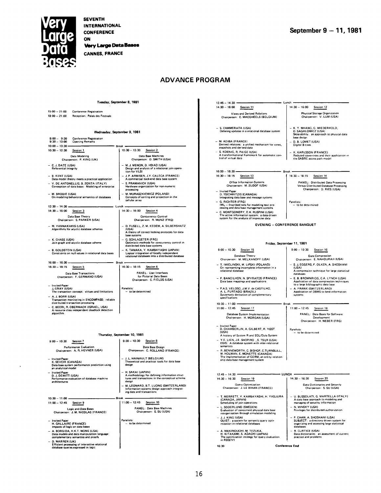

**SEVENTH INTERNATIONAL CONFERENCE ON** 

**Very Large Data Bases** 

**CANNES, FRANCE** 

# **ADVANCE PROGRAM**

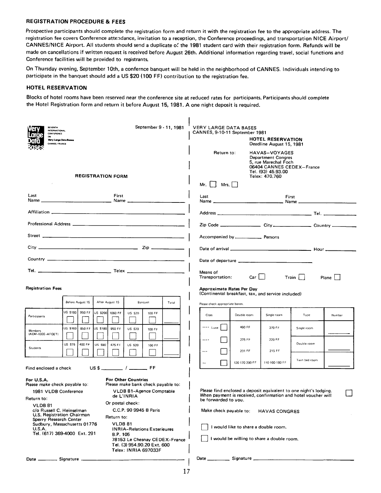#### REGISTRATION PROCEDURE & FEES

*Prospective* participants should complete the registration form and return it with the registration fee to the appropriate address. The registration fee covers Conference attendance, invitation to a reception, the Conference proceedings, and transportation NICE Airport/ CANNES/NICE Airport. All students should send a duplicate of the 1981 student card with their registration form. Refunds will be made on cancellations if written request is received before August 26th. Additional information regarding travel, social functions and Conference facilities will be provided to registrants.

On Thursday evening, September 10th, a confernce banquet will be held in the neighborhood of CANNES. Individuals intending to participate in the banquet should add a US \$20 (100 FF) contribution to the registration fee.

#### HOTEL RESERVATION

Blocks of hotel rooms have been reserved near the conference site at reduced rates for participants. Participants should complete the Hotel Registration form and return it before August 15, 1981. A one night deposit is required.

| <b>SEVENTH</b><br><b>INTERNATIONAL</b><br>CONFERENCE<br>Very Large Data Bases<br><b>CANNES, FRANCE</b>                                                                                                    |                                                                                                                                                                    |                                                                            | September 9 - 11, 1981               | <b>VERY LARGE DATA BASES</b><br>CANNES, 9-10-11 September 1981<br>HOTEL RESERVATION<br>Deadline August 15, 1981<br>Return to:<br>HAVAS-VOYAGES<br>Department Congres |                                                                                                                                    |                |               |        |  |
|-----------------------------------------------------------------------------------------------------------------------------------------------------------------------------------------------------------|--------------------------------------------------------------------------------------------------------------------------------------------------------------------|----------------------------------------------------------------------------|--------------------------------------|----------------------------------------------------------------------------------------------------------------------------------------------------------------------|------------------------------------------------------------------------------------------------------------------------------------|----------------|---------------|--------|--|
| <b>REGISTRATION FORM</b>                                                                                                                                                                                  |                                                                                                                                                                    |                                                                            |                                      | 5, rue Marechal Foch<br>06404 CANNES CEDEX-France<br>Tel. (93) 45.93.00<br>Telex: 470.760<br>Mr.<br>Mrs. $\Box$                                                      |                                                                                                                                    |                |               |        |  |
| Last                                                                                                                                                                                                      | First                                                                                                                                                              |                                                                            |                                      |                                                                                                                                                                      |                                                                                                                                    | First          |               |        |  |
|                                                                                                                                                                                                           |                                                                                                                                                                    |                                                                            |                                      |                                                                                                                                                                      |                                                                                                                                    |                |               |        |  |
|                                                                                                                                                                                                           |                                                                                                                                                                    |                                                                            |                                      |                                                                                                                                                                      | Zip Code ______________________ City________________________ Country ___________                                                   |                |               |        |  |
|                                                                                                                                                                                                           |                                                                                                                                                                    |                                                                            |                                      |                                                                                                                                                                      |                                                                                                                                    |                |               |        |  |
|                                                                                                                                                                                                           |                                                                                                                                                                    |                                                                            |                                      |                                                                                                                                                                      |                                                                                                                                    |                |               |        |  |
|                                                                                                                                                                                                           |                                                                                                                                                                    |                                                                            |                                      |                                                                                                                                                                      |                                                                                                                                    |                |               |        |  |
|                                                                                                                                                                                                           |                                                                                                                                                                    | Means of<br>$Car \ \Box$<br>$Train \mid \cdot$<br>Transportation:<br>Plane |                                      |                                                                                                                                                                      |                                                                                                                                    |                |               |        |  |
| <b>Registration Fees</b>                                                                                                                                                                                  | Before August 15                                                                                                                                                   | After August 15                                                            | Banquet<br>Total                     | <b>Approximate Rates Per Day</b><br>(Continental breakfast, tax, and service included)<br>Please check appropriate boxes.                                            |                                                                                                                                    |                |               |        |  |
| Participants                                                                                                                                                                                              | US \$180 950 FF                                                                                                                                                    | US \$200 1060 FF<br><b>US \$20</b>                                         | 100 FF                               | <b>Class</b>                                                                                                                                                         | Double room                                                                                                                        | Single room    | Type          | Number |  |
| Members                                                                                                                                                                                                   | US \$160<br>850 FF<br>US \$180                                                                                                                                     | 950 FF<br><b>US \$20</b>                                                   | 100 FF                               | $\cdots$ Luxe                                                                                                                                                        | 460 FF                                                                                                                             | 370 FF         | Single room   |        |  |
| (ACM-IEEE-AFCET)<br><b>Students</b>                                                                                                                                                                       | <b>US \$75</b><br>400 FF<br><b>US \$90</b>                                                                                                                         | 475 FF<br><b>US \$20</b>                                                   | 100 FF                               | $\cdots$                                                                                                                                                             | 275 FF                                                                                                                             | 220 FF         | Double room   |        |  |
|                                                                                                                                                                                                           |                                                                                                                                                                    |                                                                            |                                      | $\cdots$                                                                                                                                                             | 231 FF                                                                                                                             | 215 FF         | Twin bed room |        |  |
| Find enclosed a check                                                                                                                                                                                     |                                                                                                                                                                    |                                                                            |                                      | $\ddot{\phantom{a}}$                                                                                                                                                 | 120-170-200 FF                                                                                                                     | 110-160-180 FF |               |        |  |
| For U.S.A.<br>Please make check payable to:<br>1981 VLDB Conference<br>Return to:<br><b>VLDB 81</b><br>c/o Russell C. Heinselman<br>U.S. Registration Chairman<br>Sperry Research Center<br><b>U.S.A.</b> | <b>For Other Countries</b><br>Please make bank check payable to:<br>Or postal check:<br>Return to:<br>Sudbury, Massachusetts 01776<br>Tel. (617) 369-4000 Ext. 291 | be forwarded to you.<br>Make check payable to:                             | I would like to share a double room. | <b>HAVAS CONGRES</b><br>I would be willing to share a double room.                                                                                                   | Please find enclosed a deposit equivalent to one night's lodging.<br>When payment is received, confirmation and hotel voucher will |                |               |        |  |
|                                                                                                                                                                                                           | Date __________ Signature ________                                                                                                                                 |                                                                            |                                      |                                                                                                                                                                      |                                                                                                                                    |                |               |        |  |

17